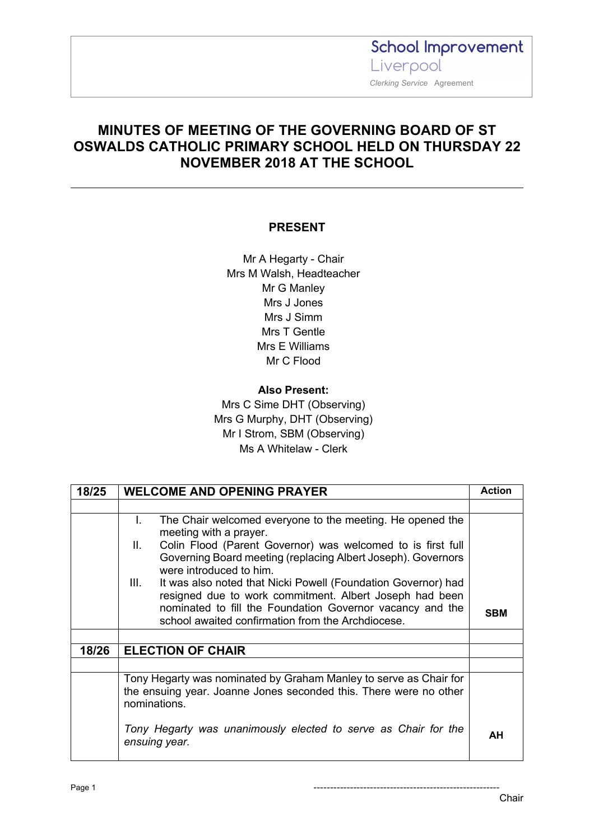**School Improvement** Liverpool  *Clerking Service* Agreement

### **MINUTES OF MEETING OF THE GOVERNING BOARD OF ST OSWALDS CATHOLIC PRIMARY SCHOOL HELD ON THURSDAY 22 NOVEMBER 2018 AT THE SCHOOL**

#### **PRESENT**

Mr A Hegarty - Chair Mrs M Walsh, Headteacher Mr G Manley Mrs J Jones Mrs J Simm Mrs T Gentle Mrs E Williams Mr C Flood

### **Also Present:** Mrs C Sime DHT (Observing) Mrs G Murphy, DHT (Observing) Mr I Strom, SBM (Observing)

Ms A Whitelaw - Clerk

| 18/25 | <b>WELCOME AND OPENING PRAYER</b>                                                                                                                            | Action     |
|-------|--------------------------------------------------------------------------------------------------------------------------------------------------------------|------------|
|       |                                                                                                                                                              |            |
|       | L.<br>The Chair welcomed everyone to the meeting. He opened the<br>meeting with a prayer.                                                                    |            |
|       | Colin Flood (Parent Governor) was welcomed to is first full<br>Ш.<br>Governing Board meeting (replacing Albert Joseph). Governors<br>were introduced to him. |            |
|       | III.<br>It was also noted that Nicki Powell (Foundation Governor) had<br>resigned due to work commitment. Albert Joseph had been                             |            |
|       | nominated to fill the Foundation Governor vacancy and the<br>school awaited confirmation from the Archdiocese.                                               | <b>SBM</b> |
|       |                                                                                                                                                              |            |
| 18/26 | <b>ELECTION OF CHAIR</b>                                                                                                                                     |            |
|       |                                                                                                                                                              |            |
|       | Tony Hegarty was nominated by Graham Manley to serve as Chair for<br>the ensuing year. Joanne Jones seconded this. There were no other<br>nominations.       |            |
|       | Tony Hegarty was unanimously elected to serve as Chair for the<br>ensuing year.                                                                              | AH         |

Page 1 --------------------------------------------------------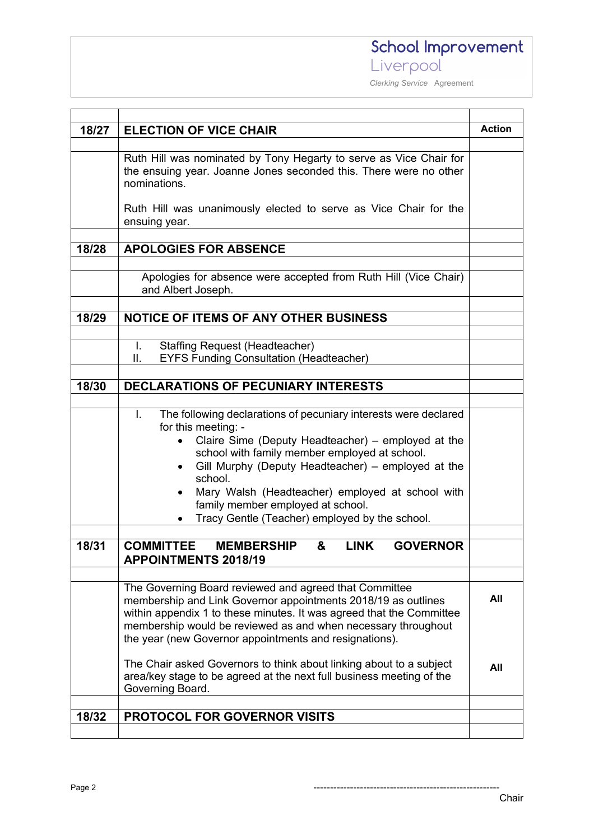*Clerking Service* Agreement

|       |                                                                              | <b>Action</b> |  |  |
|-------|------------------------------------------------------------------------------|---------------|--|--|
| 18/27 | <b>ELECTION OF VICE CHAIR</b>                                                |               |  |  |
|       |                                                                              |               |  |  |
|       | Ruth Hill was nominated by Tony Hegarty to serve as Vice Chair for           |               |  |  |
|       | the ensuing year. Joanne Jones seconded this. There were no other            |               |  |  |
|       | nominations.                                                                 |               |  |  |
|       |                                                                              |               |  |  |
|       | Ruth Hill was unanimously elected to serve as Vice Chair for the             |               |  |  |
|       | ensuing year.                                                                |               |  |  |
|       |                                                                              |               |  |  |
| 18/28 | <b>APOLOGIES FOR ABSENCE</b>                                                 |               |  |  |
|       |                                                                              |               |  |  |
|       | Apologies for absence were accepted from Ruth Hill (Vice Chair)              |               |  |  |
|       | and Albert Joseph.                                                           |               |  |  |
|       |                                                                              |               |  |  |
| 18/29 | <b>NOTICE OF ITEMS OF ANY OTHER BUSINESS</b>                                 |               |  |  |
|       |                                                                              |               |  |  |
|       | <b>Staffing Request (Headteacher)</b><br>L.                                  |               |  |  |
|       | <b>EYFS Funding Consultation (Headteacher)</b><br>Ш.                         |               |  |  |
|       |                                                                              |               |  |  |
| 18/30 | <b>DECLARATIONS OF PECUNIARY INTERESTS</b>                                   |               |  |  |
|       |                                                                              |               |  |  |
|       | The following declarations of pecuniary interests were declared<br>L.        |               |  |  |
|       | for this meeting: -                                                          |               |  |  |
|       | Claire Sime (Deputy Headteacher) – employed at the                           |               |  |  |
|       | school with family member employed at school.                                |               |  |  |
|       | Gill Murphy (Deputy Headteacher) - employed at the                           |               |  |  |
|       | school.                                                                      |               |  |  |
|       | Mary Walsh (Headteacher) employed at school with                             |               |  |  |
|       | family member employed at school.                                            |               |  |  |
|       | Tracy Gentle (Teacher) employed by the school.<br>$\bullet$                  |               |  |  |
|       |                                                                              |               |  |  |
| 18/31 | <b>LINK</b><br>&<br><b>GOVERNOR</b><br><b>COMMITTEE</b><br><b>MEMBERSHIP</b> |               |  |  |
|       | <b>APPOINTMENTS 2018/19</b>                                                  |               |  |  |
|       |                                                                              |               |  |  |
|       | The Governing Board reviewed and agreed that Committee                       |               |  |  |
|       | membership and Link Governor appointments 2018/19 as outlines                | All           |  |  |
|       | within appendix 1 to these minutes. It was agreed that the Committee         |               |  |  |
|       | membership would be reviewed as and when necessary throughout                |               |  |  |
|       | the year (new Governor appointments and resignations).                       |               |  |  |
|       |                                                                              |               |  |  |
|       | The Chair asked Governors to think about linking about to a subject          | All           |  |  |
|       | area/key stage to be agreed at the next full business meeting of the         |               |  |  |
|       | Governing Board.                                                             |               |  |  |
|       |                                                                              |               |  |  |
| 18/32 | PROTOCOL FOR GOVERNOR VISITS                                                 |               |  |  |
|       |                                                                              |               |  |  |

Page 2 --------------------------------------------------------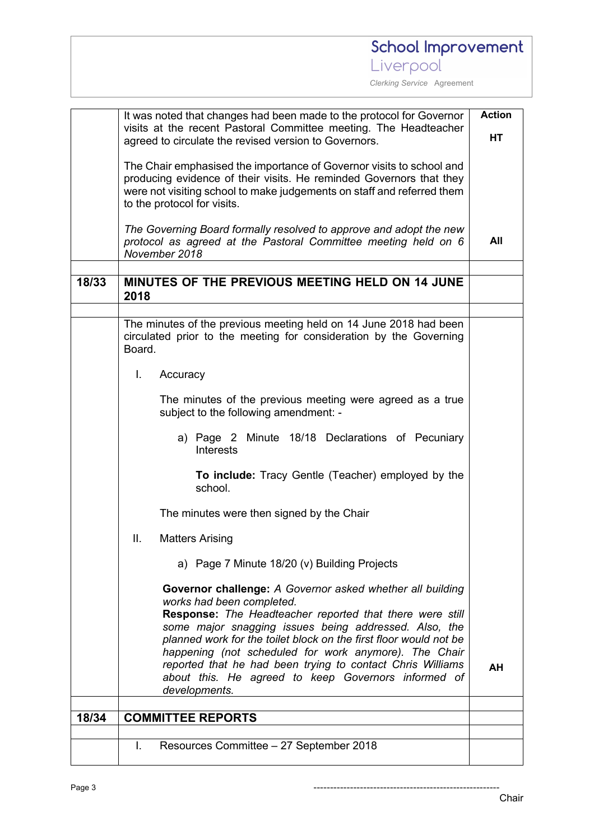*Clerking Service* Agreement

|       | It was noted that changes had been made to the protocol for Governor<br>visits at the recent Pastoral Committee meeting. The Headteacher                                                                                                                                                                                                                                                                                                                                        |    |  |
|-------|---------------------------------------------------------------------------------------------------------------------------------------------------------------------------------------------------------------------------------------------------------------------------------------------------------------------------------------------------------------------------------------------------------------------------------------------------------------------------------|----|--|
|       | agreed to circulate the revised version to Governors.                                                                                                                                                                                                                                                                                                                                                                                                                           |    |  |
|       | The Chair emphasised the importance of Governor visits to school and<br>producing evidence of their visits. He reminded Governors that they<br>were not visiting school to make judgements on staff and referred them<br>to the protocol for visits.                                                                                                                                                                                                                            |    |  |
|       | The Governing Board formally resolved to approve and adopt the new<br>protocol as agreed at the Pastoral Committee meeting held on 6<br>November 2018                                                                                                                                                                                                                                                                                                                           |    |  |
|       |                                                                                                                                                                                                                                                                                                                                                                                                                                                                                 |    |  |
| 18/33 | MINUTES OF THE PREVIOUS MEETING HELD ON 14 JUNE<br>2018                                                                                                                                                                                                                                                                                                                                                                                                                         |    |  |
|       |                                                                                                                                                                                                                                                                                                                                                                                                                                                                                 |    |  |
|       | The minutes of the previous meeting held on 14 June 2018 had been<br>circulated prior to the meeting for consideration by the Governing<br>Board.                                                                                                                                                                                                                                                                                                                               |    |  |
|       | L.<br>Accuracy                                                                                                                                                                                                                                                                                                                                                                                                                                                                  |    |  |
|       | The minutes of the previous meeting were agreed as a true<br>subject to the following amendment: -                                                                                                                                                                                                                                                                                                                                                                              |    |  |
|       | a) Page 2 Minute 18/18 Declarations of Pecuniary<br><b>Interests</b>                                                                                                                                                                                                                                                                                                                                                                                                            |    |  |
|       | To include: Tracy Gentle (Teacher) employed by the<br>school.                                                                                                                                                                                                                                                                                                                                                                                                                   |    |  |
|       | The minutes were then signed by the Chair                                                                                                                                                                                                                                                                                                                                                                                                                                       |    |  |
|       | Ш.<br><b>Matters Arising</b>                                                                                                                                                                                                                                                                                                                                                                                                                                                    |    |  |
|       | a) Page 7 Minute 18/20 (v) Building Projects                                                                                                                                                                                                                                                                                                                                                                                                                                    |    |  |
|       | Governor challenge: A Governor asked whether all building<br>works had been completed.<br>Response: The Headteacher reported that there were still<br>some major snagging issues being addressed. Also, the<br>planned work for the toilet block on the first floor would not be<br>happening (not scheduled for work anymore). The Chair<br>reported that he had been trying to contact Chris Williams<br>about this. He agreed to keep Governors informed of<br>developments. | AH |  |
| 18/34 | <b>COMMITTEE REPORTS</b>                                                                                                                                                                                                                                                                                                                                                                                                                                                        |    |  |
|       |                                                                                                                                                                                                                                                                                                                                                                                                                                                                                 |    |  |
|       | Resources Committee - 27 September 2018<br>L.                                                                                                                                                                                                                                                                                                                                                                                                                                   |    |  |

Chair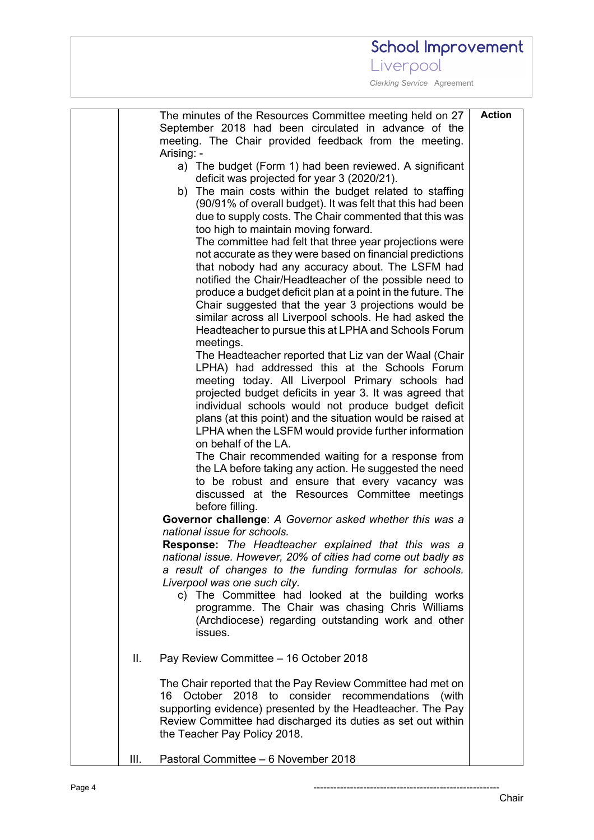# School Improvement

Liverpool

| The minutes of the Resources Committee meeting held on 27<br>September 2018 had been circulated in advance of the<br>meeting. The Chair provided feedback from the meeting.<br>Arising: -<br>a) The budget (Form 1) had been reviewed. A significant<br>deficit was projected for year 3 (2020/21).<br>b) The main costs within the budget related to staffing<br>(90/91% of overall budget). It was felt that this had been<br>due to supply costs. The Chair commented that this was<br>too high to maintain moving forward.<br>The committee had felt that three year projections were<br>not accurate as they were based on financial predictions<br>that nobody had any accuracy about. The LSFM had<br>notified the Chair/Headteacher of the possible need to<br>produce a budget deficit plan at a point in the future. The<br>Chair suggested that the year 3 projections would be<br>similar across all Liverpool schools. He had asked the<br>Headteacher to pursue this at LPHA and Schools Forum<br>meetings.<br>The Headteacher reported that Liz van der Waal (Chair<br>LPHA) had addressed this at the Schools Forum<br>meeting today. All Liverpool Primary schools had<br>projected budget deficits in year 3. It was agreed that<br>individual schools would not produce budget deficit<br>plans (at this point) and the situation would be raised at<br>LPHA when the LSFM would provide further information<br>on behalf of the LA.<br>The Chair recommended waiting for a response from<br>the LA before taking any action. He suggested the need<br>to be robust and ensure that every vacancy was | <b>Action</b> |
|--------------------------------------------------------------------------------------------------------------------------------------------------------------------------------------------------------------------------------------------------------------------------------------------------------------------------------------------------------------------------------------------------------------------------------------------------------------------------------------------------------------------------------------------------------------------------------------------------------------------------------------------------------------------------------------------------------------------------------------------------------------------------------------------------------------------------------------------------------------------------------------------------------------------------------------------------------------------------------------------------------------------------------------------------------------------------------------------------------------------------------------------------------------------------------------------------------------------------------------------------------------------------------------------------------------------------------------------------------------------------------------------------------------------------------------------------------------------------------------------------------------------------------------------------------------------------------------------------------------------------|---------------|
| Governor challenge: A Governor asked whether this was a<br>national issue for schools.<br>Response: The Headteacher explained that this was a<br>national issue. However, 20% of cities had come out badly as<br>a result of changes to the funding formulas for schools.<br>Liverpool was one such city.<br>c) The Committee had looked at the building works<br>programme. The Chair was chasing Chris Williams<br>(Archdiocese) regarding outstanding work and other<br>issues.                                                                                                                                                                                                                                                                                                                                                                                                                                                                                                                                                                                                                                                                                                                                                                                                                                                                                                                                                                                                                                                                                                                                       |               |
| Pay Review Committee - 16 October 2018<br>Ш.                                                                                                                                                                                                                                                                                                                                                                                                                                                                                                                                                                                                                                                                                                                                                                                                                                                                                                                                                                                                                                                                                                                                                                                                                                                                                                                                                                                                                                                                                                                                                                             |               |
| The Chair reported that the Pay Review Committee had met on<br>16<br>October 2018 to consider recommendations<br>(with<br>supporting evidence) presented by the Headteacher. The Pay<br>Review Committee had discharged its duties as set out within<br>the Teacher Pay Policy 2018.                                                                                                                                                                                                                                                                                                                                                                                                                                                                                                                                                                                                                                                                                                                                                                                                                                                                                                                                                                                                                                                                                                                                                                                                                                                                                                                                     |               |
| Pastoral Committee - 6 November 2018<br>III.                                                                                                                                                                                                                                                                                                                                                                                                                                                                                                                                                                                                                                                                                                                                                                                                                                                                                                                                                                                                                                                                                                                                                                                                                                                                                                                                                                                                                                                                                                                                                                             |               |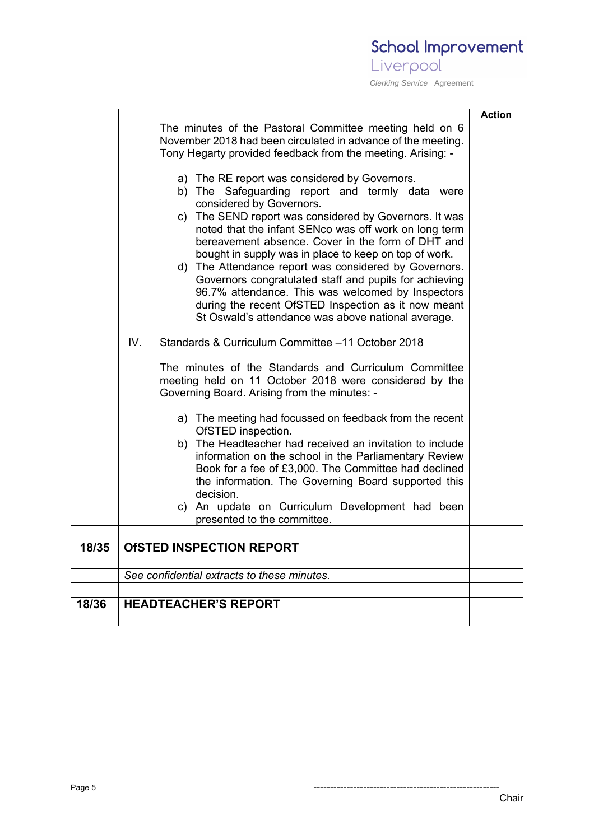# School Improvement

Liverpool

|       | The minutes of the Pastoral Committee meeting held on 6<br>November 2018 had been circulated in advance of the meeting.<br>Tony Hegarty provided feedback from the meeting. Arising: -<br>a) The RE report was considered by Governors.<br>b) The Safeguarding report and termly data were<br>considered by Governors.<br>c) The SEND report was considered by Governors. It was<br>noted that the infant SENco was off work on long term<br>bereavement absence. Cover in the form of DHT and<br>bought in supply was in place to keep on top of work.<br>d) The Attendance report was considered by Governors.<br>Governors congratulated staff and pupils for achieving<br>96.7% attendance. This was welcomed by Inspectors<br>during the recent OfSTED Inspection as it now meant<br>St Oswald's attendance was above national average.<br>IV.<br>Standards & Curriculum Committee -11 October 2018<br>The minutes of the Standards and Curriculum Committee<br>meeting held on 11 October 2018 were considered by the<br>Governing Board. Arising from the minutes: -<br>a) The meeting had focussed on feedback from the recent<br>OfSTED inspection.<br>b) The Headteacher had received an invitation to include<br>information on the school in the Parliamentary Review<br>Book for a fee of £3,000. The Committee had declined<br>the information. The Governing Board supported this | <b>Action</b> |
|-------|--------------------------------------------------------------------------------------------------------------------------------------------------------------------------------------------------------------------------------------------------------------------------------------------------------------------------------------------------------------------------------------------------------------------------------------------------------------------------------------------------------------------------------------------------------------------------------------------------------------------------------------------------------------------------------------------------------------------------------------------------------------------------------------------------------------------------------------------------------------------------------------------------------------------------------------------------------------------------------------------------------------------------------------------------------------------------------------------------------------------------------------------------------------------------------------------------------------------------------------------------------------------------------------------------------------------------------------------------------------------------------------------------|---------------|
|       | decision.<br>c) An update on Curriculum Development had been                                                                                                                                                                                                                                                                                                                                                                                                                                                                                                                                                                                                                                                                                                                                                                                                                                                                                                                                                                                                                                                                                                                                                                                                                                                                                                                                     |               |
|       | presented to the committee.                                                                                                                                                                                                                                                                                                                                                                                                                                                                                                                                                                                                                                                                                                                                                                                                                                                                                                                                                                                                                                                                                                                                                                                                                                                                                                                                                                      |               |
| 18/35 | <b>OfSTED INSPECTION REPORT</b>                                                                                                                                                                                                                                                                                                                                                                                                                                                                                                                                                                                                                                                                                                                                                                                                                                                                                                                                                                                                                                                                                                                                                                                                                                                                                                                                                                  |               |
|       |                                                                                                                                                                                                                                                                                                                                                                                                                                                                                                                                                                                                                                                                                                                                                                                                                                                                                                                                                                                                                                                                                                                                                                                                                                                                                                                                                                                                  |               |
|       | See confidential extracts to these minutes.                                                                                                                                                                                                                                                                                                                                                                                                                                                                                                                                                                                                                                                                                                                                                                                                                                                                                                                                                                                                                                                                                                                                                                                                                                                                                                                                                      |               |
|       |                                                                                                                                                                                                                                                                                                                                                                                                                                                                                                                                                                                                                                                                                                                                                                                                                                                                                                                                                                                                                                                                                                                                                                                                                                                                                                                                                                                                  |               |
| 18/36 | <b>HEADTEACHER'S REPORT</b>                                                                                                                                                                                                                                                                                                                                                                                                                                                                                                                                                                                                                                                                                                                                                                                                                                                                                                                                                                                                                                                                                                                                                                                                                                                                                                                                                                      |               |
|       |                                                                                                                                                                                                                                                                                                                                                                                                                                                                                                                                                                                                                                                                                                                                                                                                                                                                                                                                                                                                                                                                                                                                                                                                                                                                                                                                                                                                  |               |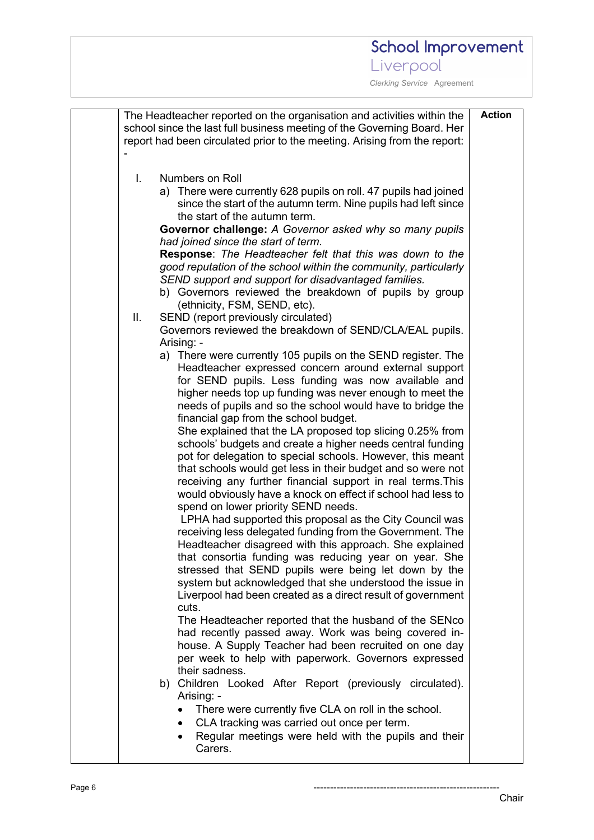| <b>Action</b><br>The Headteacher reported on the organisation and activities within the |                                                                                                                           |  |  |
|-----------------------------------------------------------------------------------------|---------------------------------------------------------------------------------------------------------------------------|--|--|
| school since the last full business meeting of the Governing Board. Her                 |                                                                                                                           |  |  |
|                                                                                         | report had been circulated prior to the meeting. Arising from the report:                                                 |  |  |
|                                                                                         |                                                                                                                           |  |  |
| I.                                                                                      | Numbers on Roll                                                                                                           |  |  |
|                                                                                         | a) There were currently 628 pupils on roll. 47 pupils had joined                                                          |  |  |
|                                                                                         | since the start of the autumn term. Nine pupils had left since                                                            |  |  |
|                                                                                         | the start of the autumn term.<br>Governor challenge: A Governor asked why so many pupils                                  |  |  |
|                                                                                         | had joined since the start of term.                                                                                       |  |  |
|                                                                                         | <b>Response:</b> The Headteacher felt that this was down to the                                                           |  |  |
|                                                                                         | good reputation of the school within the community, particularly                                                          |  |  |
|                                                                                         | SEND support and support for disadvantaged families.                                                                      |  |  |
|                                                                                         | b) Governors reviewed the breakdown of pupils by group                                                                    |  |  |
| Ш.                                                                                      | (ethnicity, FSM, SEND, etc).<br>SEND (report previously circulated)                                                       |  |  |
|                                                                                         | Governors reviewed the breakdown of SEND/CLA/EAL pupils.                                                                  |  |  |
|                                                                                         | Arising: -                                                                                                                |  |  |
|                                                                                         | a) There were currently 105 pupils on the SEND register. The                                                              |  |  |
|                                                                                         | Headteacher expressed concern around external support                                                                     |  |  |
|                                                                                         | for SEND pupils. Less funding was now available and<br>higher needs top up funding was never enough to meet the           |  |  |
|                                                                                         | needs of pupils and so the school would have to bridge the                                                                |  |  |
|                                                                                         | financial gap from the school budget.                                                                                     |  |  |
|                                                                                         | She explained that the LA proposed top slicing 0.25% from                                                                 |  |  |
|                                                                                         | schools' budgets and create a higher needs central funding                                                                |  |  |
|                                                                                         | pot for delegation to special schools. However, this meant<br>that schools would get less in their budget and so were not |  |  |
|                                                                                         | receiving any further financial support in real terms. This                                                               |  |  |
|                                                                                         | would obviously have a knock on effect if school had less to                                                              |  |  |
|                                                                                         | spend on lower priority SEND needs.                                                                                       |  |  |
|                                                                                         | LPHA had supported this proposal as the City Council was                                                                  |  |  |
|                                                                                         | receiving less delegated funding from the Government. The                                                                 |  |  |
|                                                                                         | Headteacher disagreed with this approach. She explained<br>that consortia funding was reducing year on year. She          |  |  |
|                                                                                         | stressed that SEND pupils were being let down by the                                                                      |  |  |
|                                                                                         | system but acknowledged that she understood the issue in                                                                  |  |  |
|                                                                                         | Liverpool had been created as a direct result of government                                                               |  |  |
|                                                                                         | cuts.                                                                                                                     |  |  |
|                                                                                         | The Headteacher reported that the husband of the SENco<br>had recently passed away. Work was being covered in-            |  |  |
|                                                                                         | house. A Supply Teacher had been recruited on one day                                                                     |  |  |
|                                                                                         | per week to help with paperwork. Governors expressed                                                                      |  |  |
|                                                                                         | their sadness.                                                                                                            |  |  |
|                                                                                         | b) Children Looked After Report (previously circulated).<br>Arising: -                                                    |  |  |
|                                                                                         | There were currently five CLA on roll in the school.                                                                      |  |  |
|                                                                                         | CLA tracking was carried out once per term.                                                                               |  |  |
|                                                                                         | Regular meetings were held with the pupils and their<br>٠                                                                 |  |  |
|                                                                                         | Carers.                                                                                                                   |  |  |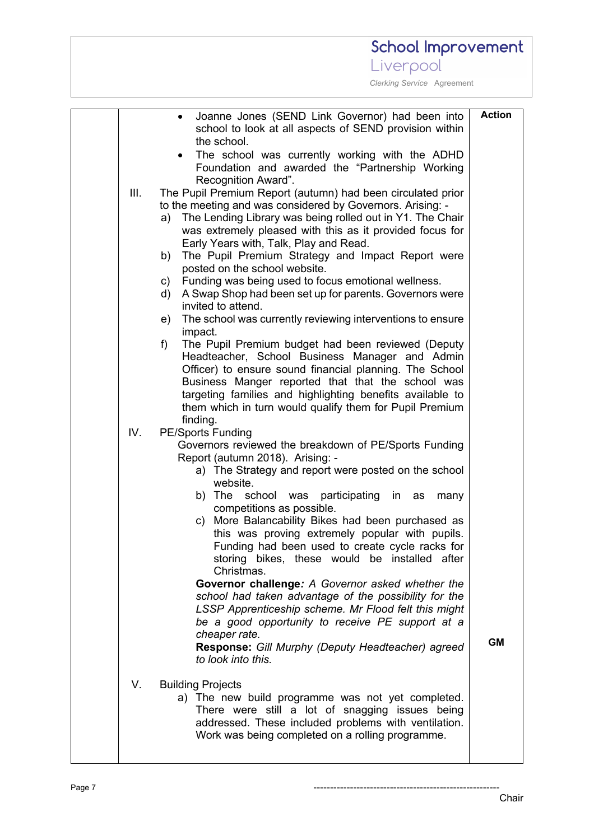| School Improvement                                                                                                                                                                                                                                                                                                                                                                                                                                                                                                                                                                                                                                                                                                                                                             |               |
|--------------------------------------------------------------------------------------------------------------------------------------------------------------------------------------------------------------------------------------------------------------------------------------------------------------------------------------------------------------------------------------------------------------------------------------------------------------------------------------------------------------------------------------------------------------------------------------------------------------------------------------------------------------------------------------------------------------------------------------------------------------------------------|---------------|
| Liverpool                                                                                                                                                                                                                                                                                                                                                                                                                                                                                                                                                                                                                                                                                                                                                                      |               |
| Clerking Service Agreement                                                                                                                                                                                                                                                                                                                                                                                                                                                                                                                                                                                                                                                                                                                                                     |               |
| Joanne Jones (SEND Link Governor) had been into<br>$\bullet$<br>school to look at all aspects of SEND provision within<br>the school.<br>The school was currently working with the ADHD<br>Foundation and awarded the "Partnership Working<br>Recognition Award".<br>III.<br>The Pupil Premium Report (autumn) had been circulated prior<br>to the meeting and was considered by Governors. Arising: -<br>The Lending Library was being rolled out in Y1. The Chair<br>a)<br>was extremely pleased with this as it provided focus for                                                                                                                                                                                                                                          | <b>Action</b> |
| Early Years with, Talk, Play and Read.<br>The Pupil Premium Strategy and Impact Report were<br>b)<br>posted on the school website.<br>Funding was being used to focus emotional wellness.<br>C)<br>A Swap Shop had been set up for parents. Governors were<br>d)<br>invited to attend.<br>The school was currently reviewing interventions to ensure<br>e)<br>impact.                                                                                                                                                                                                                                                                                                                                                                                                          |               |
| The Pupil Premium budget had been reviewed (Deputy<br>f<br>Headteacher, School Business Manager and Admin<br>Officer) to ensure sound financial planning. The School<br>Business Manger reported that that the school was<br>targeting families and highlighting benefits available to<br>them which in turn would qualify them for Pupil Premium<br>finding.<br>IV.<br><b>PE/Sports Funding</b>                                                                                                                                                                                                                                                                                                                                                                               |               |
| Governors reviewed the breakdown of PE/Sports Funding<br>Report (autumn 2018). Arising: -<br>a) The Strategy and report were posted on the school<br>website.<br>b) The<br>school was participating in as<br>many<br>competitions as possible.<br>c) More Balancability Bikes had been purchased as<br>this was proving extremely popular with pupils.<br>Funding had been used to create cycle racks for<br>storing bikes, these would be installed after<br>Christmas.<br>Governor challenge: A Governor asked whether the<br>school had taken advantage of the possibility for the<br>LSSP Apprenticeship scheme. Mr Flood felt this might<br>be a good opportunity to receive PE support at a<br>cheaper rate.<br><b>Response:</b> Gill Murphy (Deputy Headteacher) agreed | <b>GM</b>     |
| to look into this.<br>V.<br><b>Building Projects</b><br>a) The new build programme was not yet completed.<br>There were still a lot of snagging issues being<br>addressed. These included problems with ventilation.<br>Work was being completed on a rolling programme.                                                                                                                                                                                                                                                                                                                                                                                                                                                                                                       |               |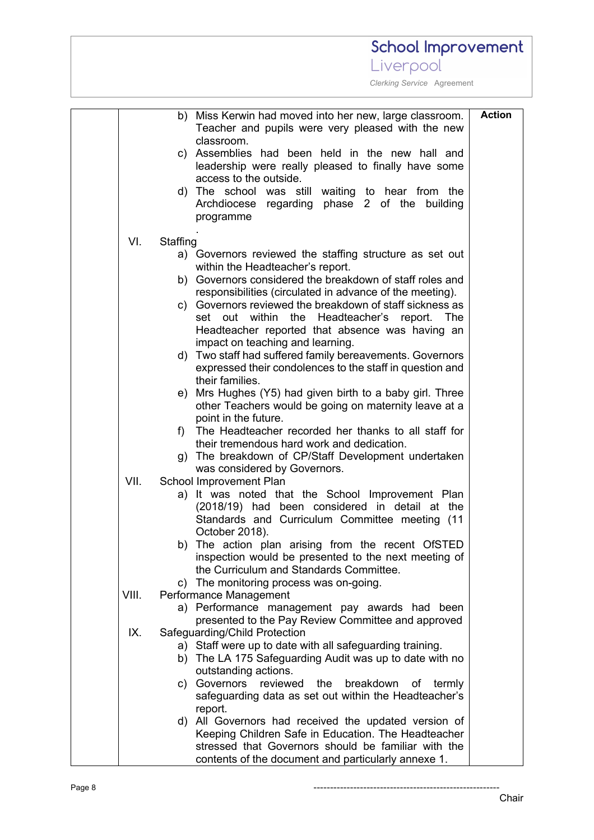#### **School Improvement** Liverpool  *Clerking Service* Agreement **Action**b) Miss Kerwin had moved into her new, large classroom. Teacher and pupils were very pleased with the new classroom. c) Assemblies had been held in the new hall and leadership were really pleased to finally have some access to the outside. d) The school was still waiting to hear from the Archdiocese regarding phase 2 of the building programme . VI. Staffing a) Governors reviewed the staffing structure as set out within the Headteacher's report. b) Governors considered the breakdown of staff roles and responsibilities (circulated in advance of the meeting). c) Governors reviewed the breakdown of staff sickness as set out within the Headteacher's report. The Headteacher reported that absence was having an impact on teaching and learning. d) Two staff had suffered family bereavements. Governors expressed their condolences to the staff in question and their families. e) Mrs Hughes (Y5) had given birth to a baby girl. Three other Teachers would be going on maternity leave at a point in the future. f) The Headteacher recorded her thanks to all staff for their tremendous hard work and dedication. g) The breakdown of CP/Staff Development undertaken was considered by Governors. VII. School Improvement Plan a) It was noted that the School Improvement Plan (2018/19) had been considered in detail at the Standards and Curriculum Committee meeting (11 October 2018). b) The action plan arising from the recent OfSTED inspection would be presented to the next meeting of the Curriculum and Standards Committee. c) The monitoring process was on-going. VIII. Performance Management a) Performance management pay awards had been presented to the Pay Review Committee and approved IX. Safeguarding/Child Protection a) Staff were up to date with all safeguarding training. b) The LA 175 Safeguarding Audit was up to date with no outstanding actions. c) Governors reviewed the breakdown of termly safeguarding data as set out within the Headteacher's report. d) All Governors had received the updated version of Keeping Children Safe in Education. The Headteacher stressed that Governors should be familiar with the contents of the document and particularly annexe 1.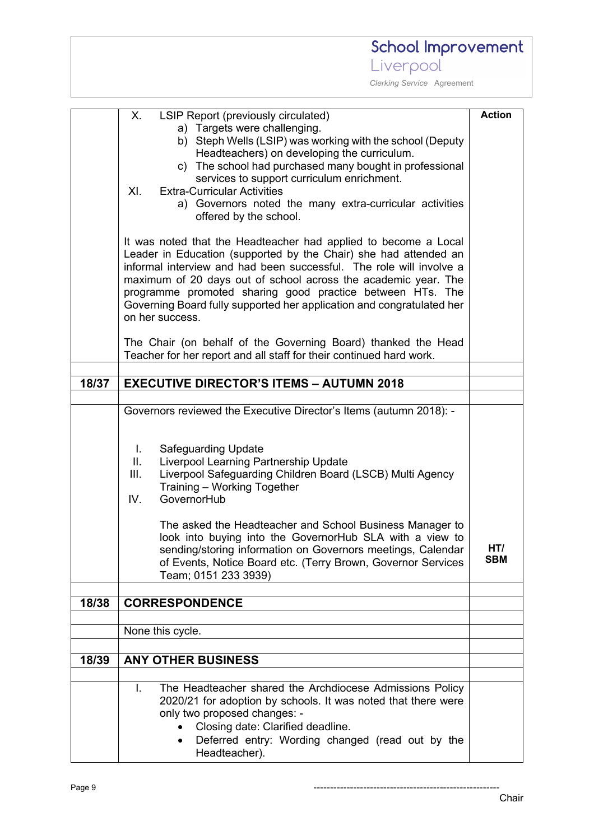# School Improvement

Liverpool

|       | LSIP Report (previously circulated)<br>Х.                                                                                                                                                                                                                              | <b>Action</b>     |  |
|-------|------------------------------------------------------------------------------------------------------------------------------------------------------------------------------------------------------------------------------------------------------------------------|-------------------|--|
|       | a) Targets were challenging.                                                                                                                                                                                                                                           |                   |  |
|       | b) Steph Wells (LSIP) was working with the school (Deputy<br>Headteachers) on developing the curriculum.                                                                                                                                                               |                   |  |
|       | c) The school had purchased many bought in professional                                                                                                                                                                                                                |                   |  |
|       | services to support curriculum enrichment.                                                                                                                                                                                                                             |                   |  |
|       | XI.<br><b>Extra-Curricular Activities</b>                                                                                                                                                                                                                              |                   |  |
|       | a) Governors noted the many extra-curricular activities<br>offered by the school.                                                                                                                                                                                      |                   |  |
|       |                                                                                                                                                                                                                                                                        |                   |  |
|       | It was noted that the Headteacher had applied to become a Local                                                                                                                                                                                                        |                   |  |
|       | Leader in Education (supported by the Chair) she had attended an<br>informal interview and had been successful. The role will involve a<br>maximum of 20 days out of school across the academic year. The<br>programme promoted sharing good practice between HTs. The |                   |  |
|       |                                                                                                                                                                                                                                                                        |                   |  |
|       |                                                                                                                                                                                                                                                                        |                   |  |
|       | Governing Board fully supported her application and congratulated her<br>on her success.                                                                                                                                                                               |                   |  |
|       |                                                                                                                                                                                                                                                                        |                   |  |
|       | The Chair (on behalf of the Governing Board) thanked the Head                                                                                                                                                                                                          |                   |  |
|       | Teacher for her report and all staff for their continued hard work.                                                                                                                                                                                                    |                   |  |
| 18/37 | <b>EXECUTIVE DIRECTOR'S ITEMS - AUTUMN 2018</b>                                                                                                                                                                                                                        |                   |  |
|       |                                                                                                                                                                                                                                                                        |                   |  |
|       | Governors reviewed the Executive Director's Items (autumn 2018): -                                                                                                                                                                                                     |                   |  |
|       |                                                                                                                                                                                                                                                                        |                   |  |
|       | <b>Safeguarding Update</b><br>Τ.                                                                                                                                                                                                                                       |                   |  |
|       | Ш.<br>Liverpool Learning Partnership Update                                                                                                                                                                                                                            |                   |  |
|       | III.<br>Liverpool Safeguarding Children Board (LSCB) Multi Agency                                                                                                                                                                                                      |                   |  |
|       | Training - Working Together                                                                                                                                                                                                                                            |                   |  |
|       | IV.<br>GovernorHub                                                                                                                                                                                                                                                     |                   |  |
|       | The asked the Headteacher and School Business Manager to                                                                                                                                                                                                               |                   |  |
|       | look into buying into the GovernorHub SLA with a view to                                                                                                                                                                                                               |                   |  |
|       | sending/storing information on Governors meetings, Calendar                                                                                                                                                                                                            | HT/<br><b>SBM</b> |  |
|       | of Events, Notice Board etc. (Terry Brown, Governor Services<br>Team; 0151 233 3939)                                                                                                                                                                                   |                   |  |
|       |                                                                                                                                                                                                                                                                        |                   |  |
| 18/38 | <b>CORRESPONDENCE</b>                                                                                                                                                                                                                                                  |                   |  |
|       |                                                                                                                                                                                                                                                                        |                   |  |
|       | None this cycle.                                                                                                                                                                                                                                                       |                   |  |
| 18/39 | <b>ANY OTHER BUSINESS</b>                                                                                                                                                                                                                                              |                   |  |
|       |                                                                                                                                                                                                                                                                        |                   |  |
|       | The Headteacher shared the Archdiocese Admissions Policy<br>L.                                                                                                                                                                                                         |                   |  |
|       | 2020/21 for adoption by schools. It was noted that there were                                                                                                                                                                                                          |                   |  |
|       | only two proposed changes: -<br>Closing date: Clarified deadline.                                                                                                                                                                                                      |                   |  |
|       | Deferred entry: Wording changed (read out by the<br>$\bullet$                                                                                                                                                                                                          |                   |  |
|       | Headteacher).                                                                                                                                                                                                                                                          |                   |  |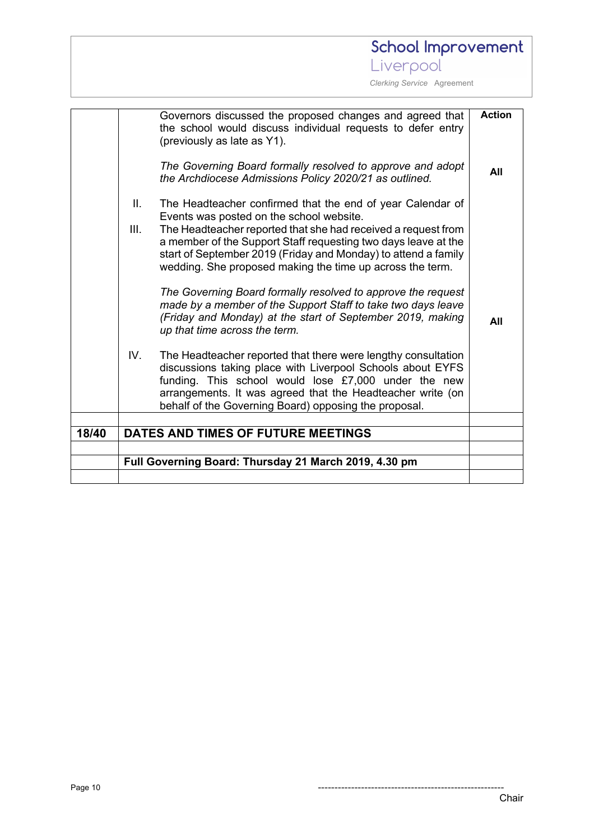### Liverpool  *Clerking Service* Agreement **Action** Governors discussed the proposed changes and agreed that the school would discuss individual requests to defer entry (previously as late as Y1). *The Governing Board formally resolved to approve and adopt*  **All** *the Archdiocese Admissions Policy 2020/21 as outlined.* II. The Headteacher confirmed that the end of year Calendar of Events was posted on the school website. III. The Headteacher reported that she had received a request from a member of the Support Staff requesting two days leave at the start of September 2019 (Friday and Monday) to attend a family wedding. She proposed making the time up across the term. *The Governing Board formally resolved to approve the request made by a member of the Support Staff to take two days leave (Friday and Monday) at the start of September 2019, making*  **All** *up that time across the term.* IV. The Headteacher reported that there were lengthy consultation discussions taking place with Liverpool Schools about EYFS funding. This school would lose £7,000 under the new arrangements. It was agreed that the Headteacher write (on behalf of the Governing Board) opposing the proposal. **18/40 DATES AND TIMES OF FUTURE MEETINGS Full Governing Board: Thursday 21 March 2019, 4.30 pm**

**School Improvement**